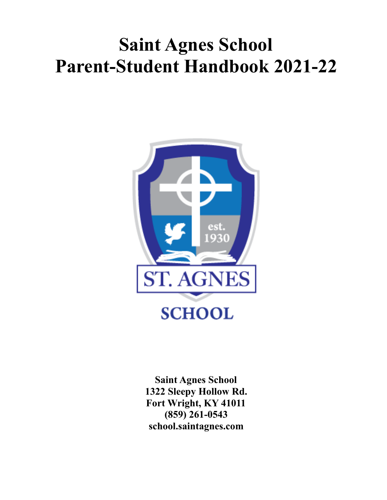# **Saint Agnes School Parent-Student Handbook 2021-22**



**Saint Agnes School 1322 Sleepy Hollow Rd. Fort Wright, KY 41011 (859) 261-0543 school.saintagnes.com**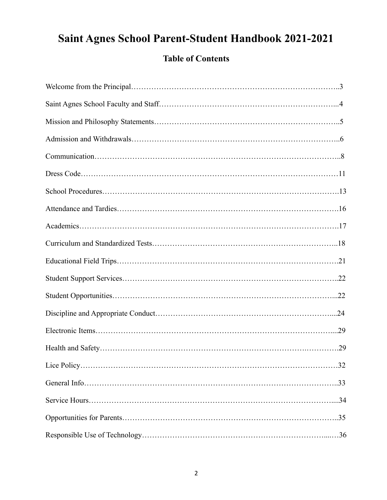## **Saint Agnes School Parent-Student Handbook 2021-2021**

## **Table of Contents**

<span id="page-1-0"></span>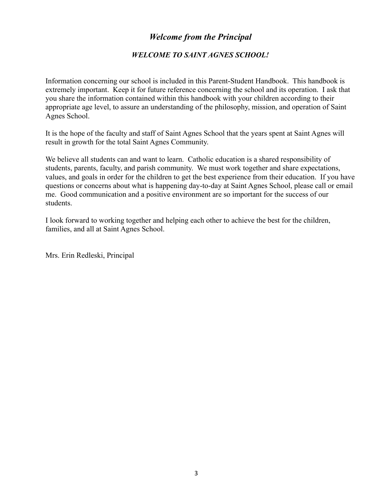## *Welcome from the Principal*

#### *WELCOME TO SAINT AGNES SCHOOL!*

<span id="page-2-0"></span>Information concerning our school is included in this Parent-Student Handbook. This handbook is extremely important. Keep it for future reference concerning the school and its operation. I ask that you share the information contained within this handbook with your children according to their appropriate age level, to assure an understanding of the philosophy, mission, and operation of Saint Agnes School.

It is the hope of the faculty and staff of Saint Agnes School that the years spent at Saint Agnes will result in growth for the total Saint Agnes Community.

We believe all students can and want to learn. Catholic education is a shared responsibility of students, parents, faculty, and parish community. We must work together and share expectations, values, and goals in order for the children to get the best experience from their education. If you have questions or concerns about what is happening day-to-day at Saint Agnes School, please call or email me. Good communication and a positive environment are so important for the success of our students.

I look forward to working together and helping each other to achieve the best for the children, families, and all at Saint Agnes School.

Mrs. Erin Redleski, Principal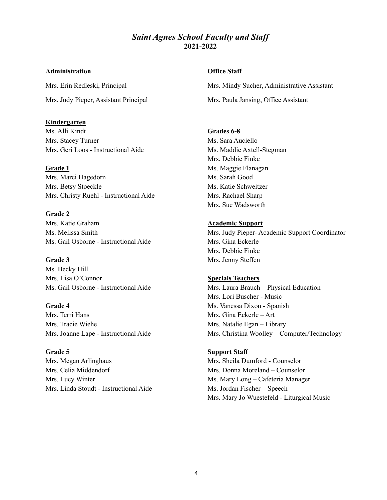#### *Saint Agnes School Faculty and Staf* **2021-2022**

#### **Administration**

Mrs. Erin Redleski, Principal Mrs. Judy Pieper, Assistant Principal

#### **Kindergarten**

Ms. Alli Kindt Mrs. Stacey Turner Mrs. Geri Loos - Instructional Aide

#### **Grade 1**

Mrs. Marci Hagedorn Mrs. Betsy Stoeckle Mrs. Christy Ruehl - Instructional Aide

#### **Grade 2**

Mrs. Katie Graham Ms. Melissa Smith Ms. Gail Osborne - Instructional Aide

#### **Grade 3**

Ms. Becky Hill Mrs. Lisa O'Connor Ms. Gail Osborne - Instructional Aide

#### **Grade 4**

Mrs. Terri Hans Mrs. Tracie Wiehe Mrs. Joanne Lape - Instructional Aide

#### **Grade 5**

<span id="page-3-0"></span>Mrs. Megan Arlinghaus Mrs. Celia Middendorf Mrs. Lucy Winter Mrs. Linda Stoudt - Instructional Aide

#### **Office Staff**

Mrs. Mindy Sucher, Administrative Assistant Mrs. Paula Jansing, Office Assistant

#### **Grades 6-8**

Ms. Sara Auciello Ms. Maddie Axtell-Stegman Mrs. Debbie Finke Ms. Maggie Flanagan Ms. Sarah Good Ms. Katie Schweitzer Mrs. Rachael Sharp Mrs. Sue Wadsworth

#### **Academic Support**

Mrs. Judy Pieper- Academic Support Coordinator Mrs. Gina Eckerle Mrs. Debbie Finke Mrs. Jenny Steffen

#### **Specials Teachers**

Mrs. Laura Brauch – Physical Education Mrs. Lori Buscher - Music Ms. Vanessa Dixon - Spanish Mrs. Gina Eckerle – Art Mrs. Natalie Egan – Library Mrs. Christina Woolley – Computer/Technology

#### **Support Staff**

Mrs. Sheila Dumford - Counselor Mrs. Donna Moreland – Counselor Ms. Mary Long – Cafeteria Manager Ms. Jordan Fischer – Speech Mrs. Mary Jo Wuestefeld - Liturgical Music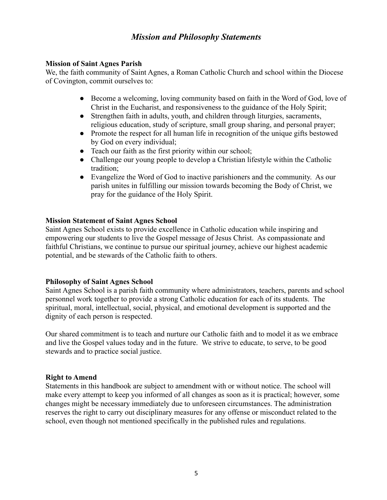## *Mission and Philosophy Statements*

#### **Mission of Saint Agnes Parish**

We, the faith community of Saint Agnes, a Roman Catholic Church and school within the Diocese of Covington, commit ourselves to:

- Become a welcoming, loving community based on faith in the Word of God, love of Christ in the Eucharist, and responsiveness to the guidance of the Holy Spirit;
- Strengthen faith in adults, youth, and children through liturgies, sacraments, religious education, study of scripture, small group sharing, and personal prayer;
- Promote the respect for all human life in recognition of the unique gifts bestowed by God on every individual;
- Teach our faith as the first priority within our school;
- Challenge our young people to develop a Christian lifestyle within the Catholic tradition;
- Evangelize the Word of God to inactive parishioners and the community. As our parish unites in fulfilling our mission towards becoming the Body of Christ, we pray for the guidance of the Holy Spirit.

#### **Mission Statement of Saint Agnes School**

Saint Agnes School exists to provide excellence in Catholic education while inspiring and empowering our students to live the Gospel message of Jesus Christ. As compassionate and faithful Christians, we continue to pursue our spiritual journey, achieve our highest academic potential, and be stewards of the Catholic faith to others.

#### **Philosophy of Saint Agnes School**

Saint Agnes School is a parish faith community where administrators, teachers, parents and school personnel work together to provide a strong Catholic education for each of its students. The spiritual, moral, intellectual, social, physical, and emotional development is supported and the dignity of each person is respected.

Our shared commitment is to teach and nurture our Catholic faith and to model it as we embrace and live the Gospel values today and in the future. We strive to educate, to serve, to be good stewards and to practice social justice.

#### <span id="page-4-0"></span>**Right to Amend**

Statements in this handbook are subject to amendment with or without notice. The school will make every attempt to keep you informed of all changes as soon as it is practical; however, some changes might be necessary immediately due to unforeseen circumstances. The administration reserves the right to carry out disciplinary measures for any offense or misconduct related to the school, even though not mentioned specifically in the published rules and regulations.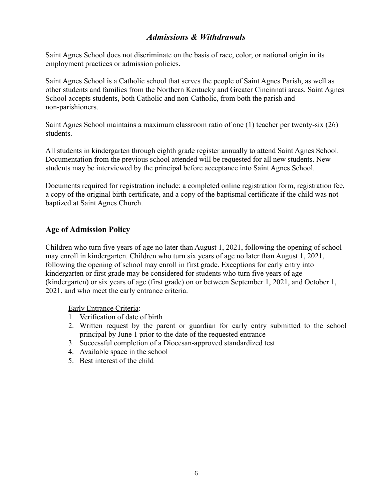## *Admissions & Withdrawals*

Saint Agnes School does not discriminate on the basis of race, color, or national origin in its employment practices or admission policies.

Saint Agnes School is a Catholic school that serves the people of Saint Agnes Parish, as well as other students and families from the Northern Kentucky and Greater Cincinnati areas. Saint Agnes School accepts students, both Catholic and non-Catholic, from both the parish and non-parishioners.

Saint Agnes School maintains a maximum classroom ratio of one (1) teacher per twenty-six (26) students.

All students in kindergarten through eighth grade register annually to attend Saint Agnes School. Documentation from the previous school attended will be requested for all new students. New students may be interviewed by the principal before acceptance into Saint Agnes School.

Documents required for registration include: a completed online registration form, registration fee, a copy of the original birth certificate, and a copy of the baptismal certificate if the child was not baptized at Saint Agnes Church.

#### **Age of Admission Policy**

Children who turn five years of age no later than August 1, 2021, following the opening of school may enroll in kindergarten. Children who turn six years of age no later than August 1, 2021, following the opening of school may enroll in first grade. Exceptions for early entry into kindergarten or first grade may be considered for students who turn five years of age (kindergarten) or six years of age (first grade) on or between September 1, 2021, and October 1, 2021, and who meet the early entrance criteria.

Early Entrance Criteria:

- 1. Verification of date of birth
- 2. Written request by the parent or guardian for early entry submitted to the school principal by June 1 prior to the date of the requested entrance
- 3. Successful completion of a Diocesan-approved standardized test
- 4. Available space in the school
- 5. Best interest of the child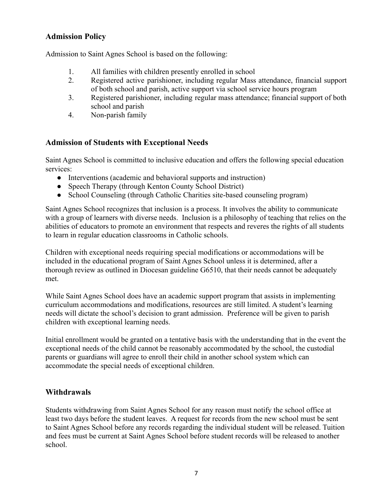## **Admission Policy**

Admission to Saint Agnes School is based on the following:

- 1. All families with children presently enrolled in school
- 2. Registered active parishioner, including regular Mass attendance, financial support of both school and parish, active support via school service hours program
- 3. Registered parishioner, including regular mass attendance; financial support of both school and parish
- 4. Non-parish family

## **Admission of Students with Exceptional Needs**

Saint Agnes School is committed to inclusive education and offers the following special education services:

- Interventions (academic and behavioral supports and instruction)
- Speech Therapy (through Kenton County School District)
- School Counseling (through Catholic Charities site-based counseling program)

Saint Agnes School recognizes that inclusion is a process. It involves the ability to communicate with a group of learners with diverse needs. Inclusion is a philosophy of teaching that relies on the abilities of educators to promote an environment that respects and reveres the rights of all students to learn in regular education classrooms in Catholic schools.

Children with exceptional needs requiring special modifications or accommodations will be included in the educational program of Saint Agnes School unless it is determined, after a thorough review as outlined in Diocesan guideline G6510, that their needs cannot be adequately met.

While Saint Agnes School does have an academic support program that assists in implementing curriculum accommodations and modifications, resources are still limited. A student's learning needs will dictate the school's decision to grant admission. Preference will be given to parish children with exceptional learning needs.

Initial enrollment would be granted on a tentative basis with the understanding that in the event the exceptional needs of the child cannot be reasonably accommodated by the school, the custodial parents or guardians will agree to enroll their child in another school system which can accommodate the special needs of exceptional children.

## **Withdrawals**

Students withdrawing from Saint Agnes School for any reason must notify the school office at least two days before the student leaves. A request for records from the new school must be sent to Saint Agnes School before any records regarding the individual student will be released. Tuition and fees must be current at Saint Agnes School before student records will be released to another school.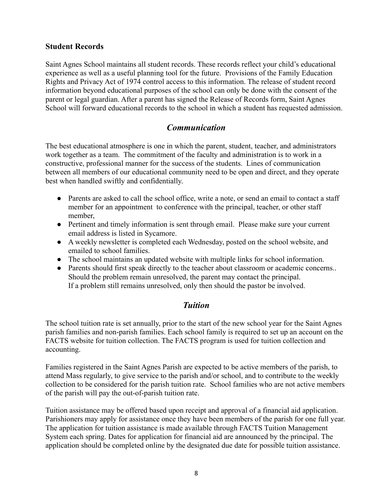#### **Student Records**

Saint Agnes School maintains all student records. These records reflect your child's educational experience as well as a useful planning tool for the future. Provisions of the Family Education Rights and Privacy Act of 1974 control access to this information. The release of student record information beyond educational purposes of the school can only be done with the consent of the parent or legal guardian. After a parent has signed the Release of Records form, Saint Agnes School will forward educational records to the school in which a student has requested admission.

## *Communication*

The best educational atmosphere is one in which the parent, student, teacher, and administrators work together as a team. The commitment of the faculty and administration is to work in a constructive, professional manner for the success of the students. Lines of communication between all members of our educational community need to be open and direct, and they operate best when handled swiftly and confidentially.

- Parents are asked to call the school office, write a note, or send an email to contact a staff member for an appointment to conference with the principal, teacher, or other staff member,
- Pertinent and timely information is sent through email. Please make sure your current email address is listed in Sycamore.
- A weekly newsletter is completed each Wednesday, posted on the school website, and emailed to school families.
- The school maintains an updated website with multiple links for school information.
- Parents should first speak directly to the teacher about classroom or academic concerns.. Should the problem remain unresolved, the parent may contact the principal. If a problem still remains unresolved, only then should the pastor be involved.

## *Tuition*

The school tuition rate is set annually, prior to the start of the new school year for the Saint Agnes parish families and non-parish families. Each school family is required to set up an account on the FACTS website for tuition collection. The FACTS program is used for tuition collection and accounting.

Families registered in the Saint Agnes Parish are expected to be active members of the parish, to attend Mass regularly, to give service to the parish and/or school, and to contribute to the weekly collection to be considered for the parish tuition rate. School families who are not active members of the parish will pay the out-of-parish tuition rate.

Tuition assistance may be offered based upon receipt and approval of a financial aid application. Parishioners may apply for assistance once they have been members of the parish for one full year. The application for tuition assistance is made available through FACTS Tuition Management System each spring. Dates for application for financial aid are announced by the principal. The application should be completed online by the designated due date for possible tuition assistance.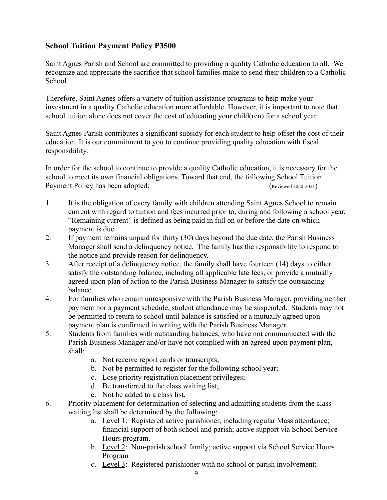## **School Tuition Payment Policy P3500**

Saint Agnes Parish and School are committed to providing a quality Catholic education to all. We recognize and appreciate the sacrifice that school families make to send their children to a Catholic School.

Therefore, Saint Agnes offers a variety of tuition assistance programs to help make your investment in a quality Catholic education more affordable. However, it is important to note that school tuition alone does not cover the cost of educating your child(ren) for a school year.

Saint Agnes Parish contributes a significant subsidy for each student to help offset the cost of their education. It is our commitment to you to continue providing quality education with fiscal responsibility.

In order for the school to continue to provide a quality Catholic education, it is necessary for the school to meet its own financial obligations. Toward that end, the following School Tuition Payment Policy has been adopted: (Reviewed 2020-2021)

- 1. It is the obligation of every family with children attending Saint Agnes School to remain current with regard to tuition and fees incurred prior to, during and following a school year. "Remaining current" is defined as being paid in full on or before the date on which payment is due.
- 2. If payment remains unpaid for thirty (30) days beyond the due date, the Parish Business Manager shall send a delinquency notice. The family has the responsibility to respond to the notice and provide reason for delinquency.
- 3. After receipt of a delinquency notice, the family shall have fourteen (14) days to either satisfy the outstanding balance, including all applicable late fees, or provide a mutually agreed upon plan of action to the Parish Business Manager to satisfy the outstanding balance.
- 4. For families who remain unresponsive with the Parish Business Manager, providing neither payment nor a payment schedule, student attendance may be suspended. Students may not be permitted to return to school until balance is satisfied or a mutually agreed upon payment plan is confirmed in writing with the Parish Business Manager.
- 5. Students from families with outstanding balances, who have not communicated with the Parish Business Manager and/or have not complied with an agreed upon payment plan, shall:
	- a. Not receive report cards or transcripts;
	- b. Not be permitted to register for the following school year;
	- c. Lose priority registration placement privileges;
	- d. Be transferred to the class waiting list;
	- e. Not be added to a class list.
- 6. Priority placement for determination of selecting and admitting students from the class waiting list shall be determined by the following:
	- a. Level 1: Registered active parishioner, including regular Mass attendance; financial support of both school and parish; active support via School Service Hours program.
	- b. Level 2: Non-parish school family; active support via School Service Hours Program
	- c. Level 3: Registered parishioner with no school or parish involvement;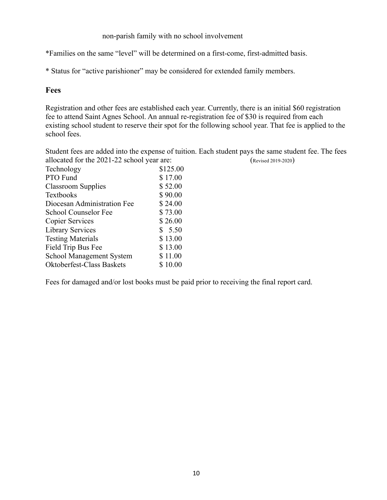#### non-parish family with no school involvement

\*Families on the same "level" will be determined on a first-come, first-admitted basis.

\* Status for "active parishioner" may be considered for extended family members.

#### **Fees**

Registration and other fees are established each year. Currently, there is an initial \$60 registration fee to attend Saint Agnes School. An annual re-registration fee of \$30 is required from each existing school student to reserve their spot for the following school year. That fee is applied to the school fees.

Student fees are added into the expense of tuition. Each student pays the same student fee. The fees allocated for the 2021-22 school year are: (Revised 2019-2020)

| Technology                  | \$125.00 |  |
|-----------------------------|----------|--|
| PTO Fund                    | \$17.00  |  |
| Classroom Supplies          | \$52.00  |  |
| <b>Textbooks</b>            | \$90.00  |  |
| Diocesan Administration Fee | \$24.00  |  |
| School Counselor Fee        | \$73.00  |  |
| <b>Copier Services</b>      | \$26.00  |  |
| <b>Library Services</b>     | \$5.50   |  |
| <b>Testing Materials</b>    | \$13.00  |  |
| Field Trip Bus Fee          | \$13.00  |  |
| School Management System    | \$11.00  |  |
| Oktoberfest-Class Baskets   | \$10.00  |  |

Fees for damaged and/or lost books must be paid prior to receiving the final report card.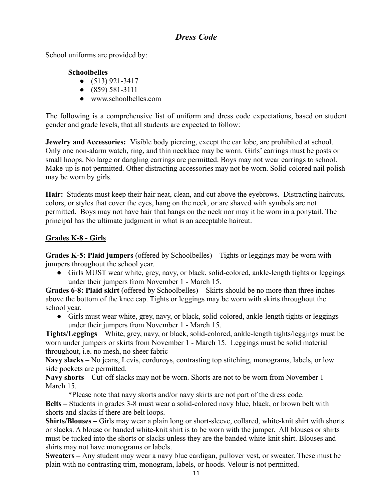## *Dress Code*

School uniforms are provided by:

## **Schoolbelles**

- $\bullet$  (513) 921-3417
- $\bullet$  (859) 581-3111
- www.schoolbelles.com

The following is a comprehensive list of uniform and dress code expectations, based on student gender and grade levels, that all students are expected to follow:

**Jewelry and Accessories:** Visible body piercing, except the ear lobe, are prohibited at school. Only one non-alarm watch, ring, and thin necklace may be worn. Girls' earrings must be posts or small hoops. No large or dangling earrings are permitted. Boys may not wear earrings to school. Make-up is not permitted. Other distracting accessories may not be worn. Solid-colored nail polish may be worn by girls.

**Hair:** Students must keep their hair neat, clean, and cut above the eyebrows. Distracting haircuts, colors, or styles that cover the eyes, hang on the neck, or are shaved with symbols are not permitted. Boys may not have hair that hangs on the neck nor may it be worn in a ponytail. The principal has the ultimate judgment in what is an acceptable haircut.

## **Grades K-8 - Girls**

**Grades K-5: Plaid jumpers** (offered by Schoolbelles) – Tights or leggings may be worn with jumpers throughout the school year.

● Girls MUST wear white, grey, navy, or black, solid-colored, ankle-length tights or leggings under their jumpers from November 1 - March 15.

**Grades 6-8: Plaid skirt** (offered by Schoolbelles) – Skirts should be no more than three inches above the bottom of the knee cap. Tights or leggings may be worn with skirts throughout the school year.

● Girls must wear white, grey, navy, or black, solid-colored, ankle-length tights or leggings under their jumpers from November 1 - March 15.

**Tights/Leggings** – White, grey, navy, or black, solid-colored, ankle-length tights/leggings must be worn under jumpers or skirts from November 1 - March 15. Leggings must be solid material throughout, i.e. no mesh, no sheer fabric

**Navy slacks** – No jeans, Levis, corduroys, contrasting top stitching, monograms, labels, or low side pockets are permitted.

**Navy shorts** – Cut-off slacks may not be worn. Shorts are not to be worn from November 1 - March 15.

\*Please note that navy skorts and/or navy skirts are not part of the dress code. **Belts –** Students in grades 3-8 must wear a solid-colored navy blue, black, or brown belt with shorts and slacks if there are belt loops.

**Shirts/Blouses –** Girls may wear a plain long or short-sleeve, collared, white-knit shirt with shorts or slacks. A blouse or banded white-knit shirt is to be worn with the jumper. All blouses or shirts must be tucked into the shorts or slacks unless they are the banded white-knit shirt. Blouses and shirts may not have monograms or labels.

**Sweaters –** Any student may wear a navy blue cardigan, pullover vest, or sweater. These must be plain with no contrasting trim, monogram, labels, or hoods. Velour is not permitted.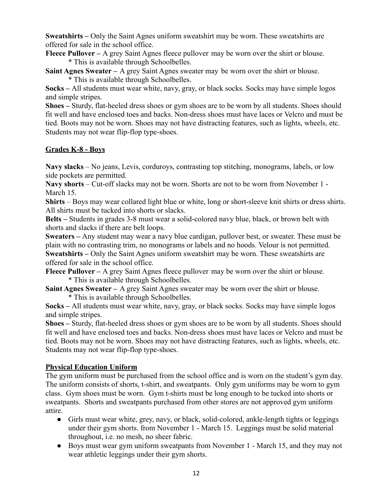**Sweatshirts –** Only the Saint Agnes uniform sweatshirt may be worn. These sweatshirts are offered for sale in the school office.

**Fleece Pullover –** A grey Saint Agnes fleece pullover may be worn over the shirt or blouse. \* This is available through Schoolbelles.

**Saint Agnes Sweater –** A grey Saint Agnes sweater may be worn over the shirt or blouse. \* This is available through Schoolbelles.

**Socks –** All students must wear white, navy, gray, or black socks. Socks may have simple logos and simple stripes.

**Shoes –** Sturdy, flat-heeled dress shoes or gym shoes are to be worn by all students. Shoes should fit well and have enclosed toes and backs. Non-dress shoes must have laces or Velcro and must be tied. Boots may not be worn. Shoes may not have distracting features, such as lights, wheels, etc. Students may not wear flip-flop type-shoes.

#### **Grades K-8 - Boys**

**Navy slacks** – No jeans, Levis, corduroys, contrasting top stitching, monograms, labels, or low side pockets are permitted.

**Navy shorts** – Cut-off slacks may not be worn. Shorts are not to be worn from November 1 - March 15.

**Shirts** – Boys may wear collared light blue or white, long or short-sleeve knit shirts or dress shirts. All shirts must be tucked into shorts or slacks.

**Belts –** Students in grades 3-8 must wear a solid-colored navy blue, black, or brown belt with shorts and slacks if there are belt loops.

**Sweaters –** Any student may wear a navy blue cardigan, pullover best, or sweater. These must be plain with no contrasting trim, no monograms or labels and no hoods. Velour is not permitted. **Sweatshirts –** Only the Saint Agnes uniform sweatshirt may be worn. These sweatshirts are offered for sale in the school office.

**Fleece Pullover –** A grey Saint Agnes fleece pullover may be worn over the shirt or blouse. \* This is available through Schoolbelles.

**Saint Agnes Sweater –** A grey Saint Agnes sweater may be worn over the shirt or blouse.

\* This is available through Schoolbelles.

**Socks –** All students must wear white, navy, gray, or black socks. Socks may have simple logos and simple stripes.

**Shoes –** Sturdy, flat-heeled dress shoes or gym shoes are to be worn by all students. Shoes should fit well and have enclosed toes and backs. Non-dress shoes must have laces or Velcro and must be tied. Boots may not be worn. Shoes may not have distracting features, such as lights, wheels, etc. Students may not wear flip-flop type-shoes.

#### **Physical Education Uniform**

The gym uniform must be purchased from the school office and is worn on the student's gym day. The uniform consists of shorts, t-shirt, and sweatpants. Only gym uniforms may be worn to gym class. Gym shoes must be worn. Gym t-shirts must be long enough to be tucked into shorts or sweatpants. Shorts and sweatpants purchased from other stores are not approved gym uniform attire.

- Girls must wear white, grey, navy, or black, solid-colored, ankle-length tights or leggings under their gym shorts. from November 1 - March 15. Leggings must be solid material throughout, i.e. no mesh, no sheer fabric.
- Boys must wear gym uniform sweatpants from November 1 March 15, and they may not wear athletic leggings under their gym shorts.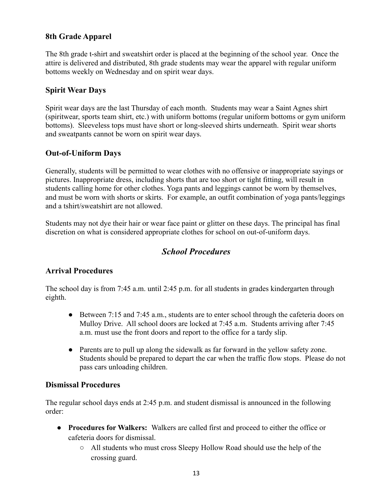## **8th Grade Apparel**

The 8th grade t-shirt and sweatshirt order is placed at the beginning of the school year. Once the attire is delivered and distributed, 8th grade students may wear the apparel with regular uniform bottoms weekly on Wednesday and on spirit wear days.

#### **Spirit Wear Days**

Spirit wear days are the last Thursday of each month. Students may wear a Saint Agnes shirt (spiritwear, sports team shirt, etc.) with uniform bottoms (regular uniform bottoms or gym uniform bottoms). Sleeveless tops must have short or long-sleeved shirts underneath. Spirit wear shorts and sweatpants cannot be worn on spirit wear days.

#### **Out-of-Uniform Days**

Generally, students will be permitted to wear clothes with no offensive or inappropriate sayings or pictures. Inappropriate dress, including shorts that are too short or tight fitting, will result in students calling home for other clothes. Yoga pants and leggings cannot be worn by themselves, and must be worn with shorts or skirts. For example, an outfit combination of yoga pants/leggings and a tshirt/sweatshirt are not allowed.

Students may not dye their hair or wear face paint or glitter on these days. The principal has final discretion on what is considered appropriate clothes for school on out-of-uniform days.

## *School Procedures*

#### **Arrival Procedures**

The school day is from 7:45 a.m. until 2:45 p.m. for all students in grades kindergarten through eighth.

- Between 7:15 and 7:45 a.m., students are to enter school through the cafeteria doors on Mulloy Drive. All school doors are locked at 7:45 a.m. Students arriving after 7:45 a.m. must use the front doors and report to the office for a tardy slip.
- Parents are to pull up along the sidewalk as far forward in the yellow safety zone. Students should be prepared to depart the car when the traffic flow stops. Please do not pass cars unloading children.

#### **Dismissal Procedures**

The regular school days ends at 2:45 p.m. and student dismissal is announced in the following order:

- **Procedures for Walkers:** Walkers are called first and proceed to either the office or cafeteria doors for dismissal.
	- All students who must cross Sleepy Hollow Road should use the help of the crossing guard.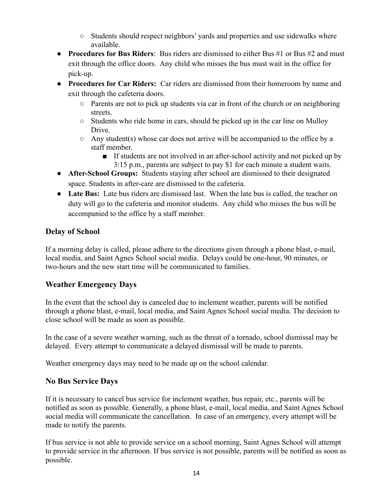- Students should respect neighbors' yards and properties and use sidewalks where available.
- **Procedures for Bus Riders**: Bus riders are dismissed to either Bus #1 or Bus #2 and must exit through the office doors. Any child who misses the bus must wait in the office for pick-up.
- **Procedures for Car Riders:** Car riders are dismissed from their homeroom by name and exit through the cafeteria doors.
	- $\circ$  Parents are not to pick up students via car in front of the church or on neighboring streets.
	- Students who ride home in cars, should be picked up in the car line on Mulloy Drive.
	- $\circ$  Any student(s) whose car does not arrive will be accompanied to the office by a staff member.
		- If students are not involved in an after-school activity and not picked up by 3:15 p.m., parents are subject to pay \$1 for each minute a student waits.
- **After-School Groups:** Students staying after school are dismissed to their designated space. Students in after-care are dismissed to the cafeteria.
- **Late Bus:** Late bus riders are dismissed last. When the late bus is called, the teacher on duty will go to the cafeteria and monitor students. Any child who misses the bus will be accompanied to the office by a staff member.

## **Delay of School**

If a morning delay is called, please adhere to the directions given through a phone blast, e-mail, local media, and Saint Agnes School social media. Delays could be one-hour, 90 minutes, or two-hours and the new start time will be communicated to families.

## **Weather Emergency Days**

In the event that the school day is canceled due to inclement weather, parents will be notified through a phone blast, e-mail, local media, and Saint Agnes School social media. The decision to close school will be made as soon as possible.

In the case of a severe weather warning, such as the threat of a tornado, school dismissal may be delayed. Every attempt to communicate a delayed dismissal will be made to parents.

Weather emergency days may need to be made up on the school calendar.

## **No Bus Service Days**

If it is necessary to cancel bus service for inclement weather, bus repair, etc., parents will be notified as soon as possible. Generally, a phone blast, e-mail, local media, and Saint Agnes School social media will communicate the cancellation. In case of an emergency, every attempt will be made to notify the parents.

If bus service is not able to provide service on a school morning, Saint Agnes School will attempt to provide service in the afternoon. If bus service is not possible, parents will be notified as soon as possible.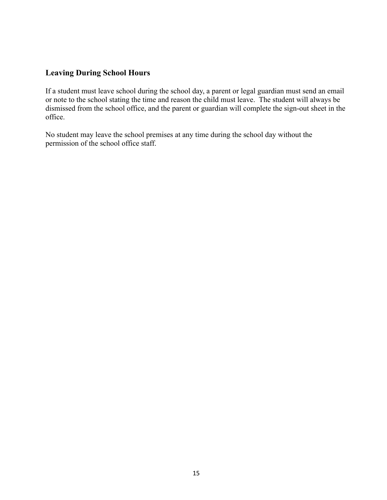## **Leaving During School Hours**

If a student must leave school during the school day, a parent or legal guardian must send an email or note to the school stating the time and reason the child must leave. The student will always be dismissed from the school office, and the parent or guardian will complete the sign-out sheet in the office.

No student may leave the school premises at any time during the school day without the permission of the school office staff.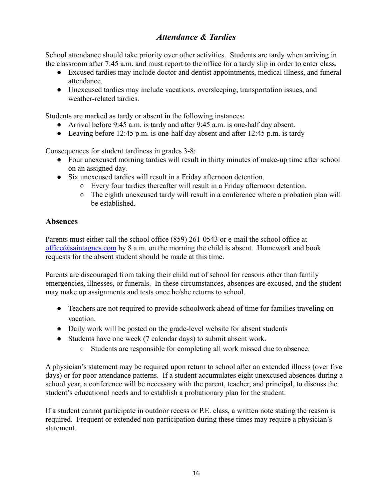## *Attendance & Tardies*

School attendance should take priority over other activities. Students are tardy when arriving in the classroom after 7:45 a.m. and must report to the office for a tardy slip in order to enter class.

- Excused tardies may include doctor and dentist appointments, medical illness, and funeral attendance.
- Unexcused tardies may include vacations, oversleeping, transportation issues, and weather-related tardies.

Students are marked as tardy or absent in the following instances:

- Arrival before 9:45 a.m. is tardy and after 9:45 a.m. is one-half day absent.
- Leaving before 12:45 p.m. is one-half day absent and after 12:45 p.m. is tardy

Consequences for student tardiness in grades 3-8:

- Four unexcused morning tardies will result in thirty minutes of make-up time after school on an assigned day.
- Six unexcused tardies will result in a Friday afternoon detention.
	- Every four tardies thereafter will result in a Friday afternoon detention.
	- The eighth unexcused tardy will result in a conference where a probation plan will be established.

## **Absences**

Parents must either call the school office (859) 261-0543 or e-mail the school office at  $office@saintagnes.com$  by 8 a.m. on the morning the child is absent. Homework and book requests for the absent student should be made at this time.

Parents are discouraged from taking their child out of school for reasons other than family emergencies, illnesses, or funerals. In these circumstances, absences are excused, and the student may make up assignments and tests once he/she returns to school.

- Teachers are not required to provide schoolwork ahead of time for families traveling on vacation.
- Daily work will be posted on the grade-level website for absent students
- Students have one week (7 calendar days) to submit absent work.
	- Students are responsible for completing all work missed due to absence.

A physician's statement may be required upon return to school after an extended illness (over five days) or for poor attendance patterns. If a student accumulates eight unexcused absences during a school year, a conference will be necessary with the parent, teacher, and principal, to discuss the student's educational needs and to establish a probationary plan for the student.

If a student cannot participate in outdoor recess or P.E. class, a written note stating the reason is required. Frequent or extended non-participation during these times may require a physician's statement.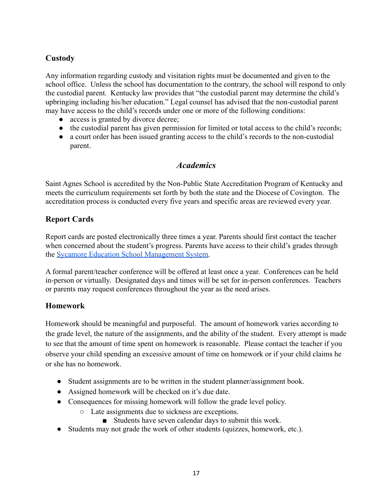## **Custody**

Any information regarding custody and visitation rights must be documented and given to the school office. Unless the school has documentation to the contrary, the school will respond to only the custodial parent. Kentucky law provides that "the custodial parent may determine the child's upbringing including his/her education." Legal counsel has advised that the non-custodial parent may have access to the child's records under one or more of the following conditions:

- access is granted by divorce decree;
- the custodial parent has given permission for limited or total access to the child's records;
- a court order has been issued granting access to the child's records to the non-custodial parent.

#### *Academics*

Saint Agnes School is accredited by the Non-Public State Accreditation Program of Kentucky and meets the curriculum requirements set forth by both the state and the Diocese of Covington. The accreditation process is conducted every five years and specific areas are reviewed every year.

## **Report Cards**

Report cards are posted electronically three times a year. Parents should first contact the teacher when concerned about the student's progress. Parents have access to their child's grades through the [Sycamore Education School Management System.](https://app.sycamoreeducation.com/index.php?schoolid=3292)

A formal parent/teacher conference will be offered at least once a year. Conferences can be held in-person or virtually. Designated days and times will be set for in-person conferences. Teachers or parents may request conferences throughout the year as the need arises.

#### **Homework**

Homework should be meaningful and purposeful. The amount of homework varies according to the grade level, the nature of the assignments, and the ability of the student. Every attempt is made to see that the amount of time spent on homework is reasonable. Please contact the teacher if you observe your child spending an excessive amount of time on homework or if your child claims he or she has no homework.

- Student assignments are to be written in the student planner/assignment book.
- Assigned homework will be checked on it's due date.
- Consequences for missing homework will follow the grade level policy.
	- Late assignments due to sickness are exceptions.
		- Students have seven calendar days to submit this work.
- Students may not grade the work of other students (quizzes, homework, etc.).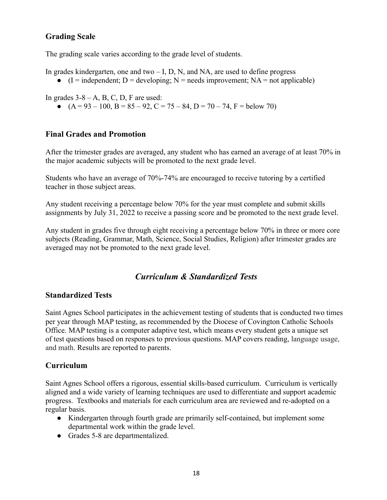## **Grading Scale**

The grading scale varies according to the grade level of students.

In grades kindergarten, one and two  $- I$ , D, N, and NA, are used to define progress

 $\bullet$  (I = independent; D = developing; N = needs improvement; NA = not applicable)

In grades  $3-8-A$ , B, C, D, F are used:

•  $(A = 93 - 100, B = 85 - 92, C = 75 - 84, D = 70 - 74, F = below 70)$ 

#### **Final Grades and Promotion**

After the trimester grades are averaged, any student who has earned an average of at least 70% in the major academic subjects will be promoted to the next grade level.

Students who have an average of 70%-74% are encouraged to receive tutoring by a certified teacher in those subject areas.

Any student receiving a percentage below 70% for the year must complete and submit skills assignments by July 31, 2022 to receive a passing score and be promoted to the next grade level.

Any student in grades five through eight receiving a percentage below 70% in three or more core subjects (Reading, Grammar, Math, Science, Social Studies, Religion) after trimester grades are averaged may not be promoted to the next grade level.

## *Curriculum & Standardized Tests*

#### **Standardized Tests**

Saint Agnes School participates in the achievement testing of students that is conducted two times per year through MAP testing, as recommended by the Diocese of Covington Catholic Schools Office. MAP testing is a computer adaptive test, which means every student gets a unique set of test questions based on responses to previous questions. MAP covers reading, language usage, and math. Results are reported to parents.

## **Curriculum**

Saint Agnes School offers a rigorous, essential skills-based curriculum. Curriculum is vertically aligned and a wide variety of learning techniques are used to differentiate and support academic progress. Textbooks and materials for each curriculum area are reviewed and re-adopted on a regular basis.

- Kindergarten through fourth grade are primarily self-contained, but implement some departmental work within the grade level.
- Grades 5-8 are departmentalized.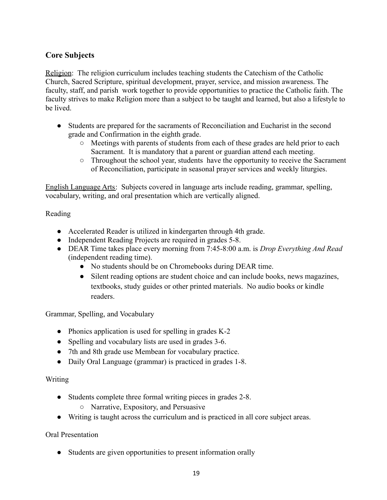## **Core Subjects**

Religion: The religion curriculum includes teaching students the Catechism of the Catholic Church, Sacred Scripture, spiritual development, prayer, service, and mission awareness. The faculty, staff, and parish work together to provide opportunities to practice the Catholic faith. The faculty strives to make Religion more than a subject to be taught and learned, but also a lifestyle to be lived.

- Students are prepared for the sacraments of Reconciliation and Eucharist in the second grade and Confirmation in the eighth grade.
	- Meetings with parents of students from each of these grades are held prior to each Sacrament. It is mandatory that a parent or guardian attend each meeting.
	- Throughout the school year, students have the opportunity to receive the Sacrament of Reconciliation, participate in seasonal prayer services and weekly liturgies.

English Language Arts: Subjects covered in language arts include reading, grammar, spelling, vocabulary, writing, and oral presentation which are vertically aligned.

#### Reading

- Accelerated Reader is utilized in kindergarten through 4th grade.
- Independent Reading Projects are required in grades 5-8.
- DEAR Time takes place every morning from 7:45-8:00 a.m. is *Drop Everything And Read* (independent reading time).
	- No students should be on Chromebooks during DEAR time.
	- Silent reading options are student choice and can include books, news magazines, textbooks, study guides or other printed materials. No audio books or kindle readers.

Grammar, Spelling, and Vocabulary

- Phonics application is used for spelling in grades K-2
- Spelling and vocabulary lists are used in grades 3-6.
- 7th and 8th grade use Membean for vocabulary practice.
- Daily Oral Language (grammar) is practiced in grades 1-8.

#### Writing

- Students complete three formal writing pieces in grades 2-8.
	- Narrative, Expository, and Persuasive
- Writing is taught across the curriculum and is practiced in all core subject areas.

#### Oral Presentation

• Students are given opportunities to present information orally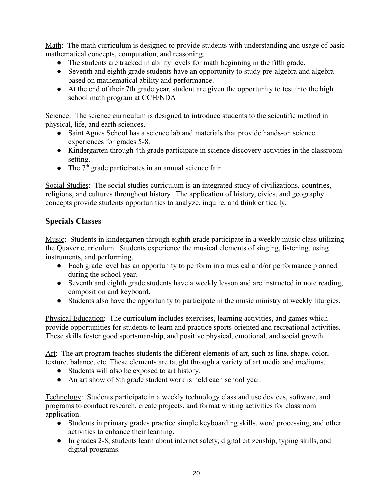Math: The math curriculum is designed to provide students with understanding and usage of basic mathematical concepts, computation, and reasoning.

- The students are tracked in ability levels for math beginning in the fifth grade.
- Seventh and eighth grade students have an opportunity to study pre-algebra and algebra based on mathematical ability and performance.
- At the end of their 7th grade year, student are given the opportunity to test into the high school math program at CCH/NDA

Science: The science curriculum is designed to introduce students to the scientific method in physical, life, and earth sciences.

- Saint Agnes School has a science lab and materials that provide hands-on science experiences for grades 5-8.
- Kindergarten through 4th grade participate in science discovery activities in the classroom setting.
- The  $7<sup>th</sup>$  grade participates in an annual science fair.

Social Studies: The social studies curriculum is an integrated study of civilizations, countries, religions, and cultures throughout history. The application of history, civics, and geography concepts provide students opportunities to analyze, inquire, and think critically.

## **Specials Classes**

Music: Students in kindergarten through eighth grade participate in a weekly music class utilizing the Quaver curriculum. Students experience the musical elements of singing, listening, using instruments, and performing.

- Each grade level has an opportunity to perform in a musical and/or performance planned during the school year.
- Seventh and eighth grade students have a weekly lesson and are instructed in note reading, composition and keyboard.
- Students also have the opportunity to participate in the music ministry at weekly liturgies.

Physical Education: The curriculum includes exercises, learning activities, and games which provide opportunities for students to learn and practice sports-oriented and recreational activities. These skills foster good sportsmanship, and positive physical, emotional, and social growth.

Art: The art program teaches students the different elements of art, such as line, shape, color, texture, balance, etc. These elements are taught through a variety of art media and mediums.

- Students will also be exposed to art history.
- An art show of 8th grade student work is held each school year.

Technology: Students participate in a weekly technology class and use devices, software, and programs to conduct research, create projects, and format writing activities for classroom application.

- Students in primary grades practice simple keyboarding skills, word processing, and other activities to enhance their learning.
- In grades 2-8, students learn about internet safety, digital citizenship, typing skills, and digital programs.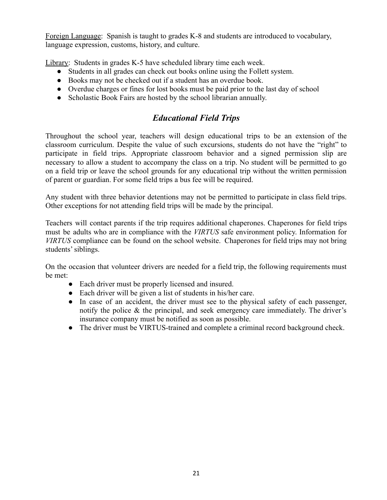Foreign Language: Spanish is taught to grades K-8 and students are introduced to vocabulary, language expression, customs, history, and culture.

Library: Students in grades K-5 have scheduled library time each week.

- Students in all grades can check out books online using the Follett system.
- Books may not be checked out if a student has an overdue book.
- Overdue charges or fines for lost books must be paid prior to the last day of school
- Scholastic Book Fairs are hosted by the school librarian annually.

## *Educational Field Trips*

Throughout the school year, teachers will design educational trips to be an extension of the classroom curriculum. Despite the value of such excursions, students do not have the "right" to participate in field trips. Appropriate classroom behavior and a signed permission slip are necessary to allow a student to accompany the class on a trip. No student will be permitted to go on a field trip or leave the school grounds for any educational trip without the written permission of parent or guardian. For some field trips a bus fee will be required.

Any student with three behavior detentions may not be permitted to participate in class field trips. Other exceptions for not attending field trips will be made by the principal.

Teachers will contact parents if the trip requires additional chaperones. Chaperones for field trips must be adults who are in compliance with the *VIRTUS* safe environment policy. Information for *VIRTUS* compliance can be found on the school website. Chaperones for field trips may not bring students' siblings.

On the occasion that volunteer drivers are needed for a field trip, the following requirements must be met:

- Each driver must be properly licensed and insured.
- Each driver will be given a list of students in his/her care.
- In case of an accident, the driver must see to the physical safety of each passenger, notify the police & the principal, and seek emergency care immediately. The driver's insurance company must be notified as soon as possible.
- The driver must be VIRTUS-trained and complete a criminal record background check.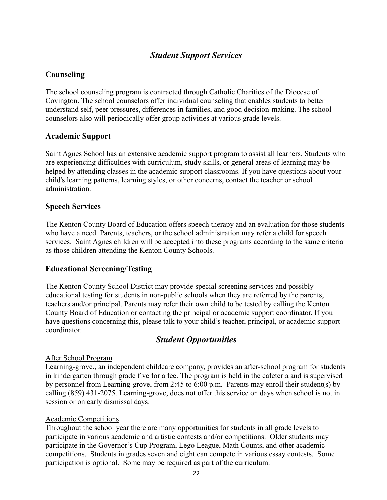## *Student Support Services*

#### **Counseling**

The school counseling program is contracted through Catholic Charities of the Diocese of Covington. The school counselors offer individual counseling that enables students to better understand self, peer pressures, differences in families, and good decision-making. The school counselors also will periodically offer group activities at various grade levels.

#### **Academic Support**

Saint Agnes School has an extensive academic support program to assist all learners. Students who are experiencing difficulties with curriculum, study skills, or general areas of learning may be helped by attending classes in the academic support classrooms. If you have questions about your child's learning patterns, learning styles, or other concerns, contact the teacher or school administration.

#### **Speech Services**

The Kenton County Board of Education offers speech therapy and an evaluation for those students who have a need. Parents, teachers, or the school administration may refer a child for speech services. Saint Agnes children will be accepted into these programs according to the same criteria as those children attending the Kenton County Schools.

#### **Educational Screening/Testing**

The Kenton County School District may provide special screening services and possibly educational testing for students in non-public schools when they are referred by the parents, teachers and/or principal. Parents may refer their own child to be tested by calling the Kenton County Board of Education or contacting the principal or academic support coordinator. If you have questions concerning this, please talk to your child's teacher, principal, or academic support coordinator.

## *Student Opportunities*

#### After School Program

Learning-grove., an independent childcare company, provides an after-school program for students in kindergarten through grade five for a fee. The program is held in the cafeteria and is supervised by personnel from Learning-grove, from 2:45 to 6:00 p.m. Parents may enroll their student(s) by calling (859) 431-2075. Learning-grove, does not offer this service on days when school is not in session or on early dismissal days.

#### Academic Competitions

Throughout the school year there are many opportunities for students in all grade levels to participate in various academic and artistic contests and/or competitions. Older students may participate in the Governor's Cup Program, Lego League, Math Counts, and other academic competitions. Students in grades seven and eight can compete in various essay contests. Some participation is optional. Some may be required as part of the curriculum.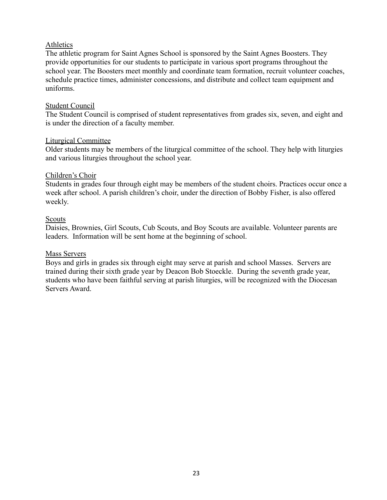#### Athletics

The athletic program for Saint Agnes School is sponsored by the Saint Agnes Boosters. They provide opportunities for our students to participate in various sport programs throughout the school year. The Boosters meet monthly and coordinate team formation, recruit volunteer coaches, schedule practice times, administer concessions, and distribute and collect team equipment and uniforms.

#### Student Council

The Student Council is comprised of student representatives from grades six, seven, and eight and is under the direction of a faculty member.

#### Liturgical Committee

Older students may be members of the liturgical committee of the school. They help with liturgies and various liturgies throughout the school year.

#### Children's Choir

Students in grades four through eight may be members of the student choirs. Practices occur once a week after school. A parish children's choir, under the direction of Bobby Fisher, is also offered weekly.

#### Scouts

Daisies, Brownies, Girl Scouts, Cub Scouts, and Boy Scouts are available. Volunteer parents are leaders. Information will be sent home at the beginning of school.

#### Mass Servers

Boys and girls in grades six through eight may serve at parish and school Masses. Servers are trained during their sixth grade year by Deacon Bob Stoeckle. During the seventh grade year, students who have been faithful serving at parish liturgies, will be recognized with the Diocesan Servers Award.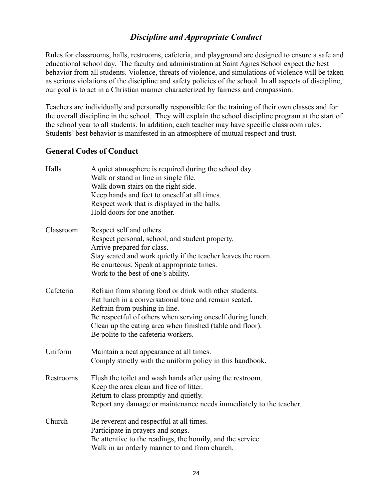## *Discipline and Appropriate Conduct*

Rules for classrooms, halls, restrooms, cafeteria, and playground are designed to ensure a safe and educational school day. The faculty and administration at Saint Agnes School expect the best behavior from all students. Violence, threats of violence, and simulations of violence will be taken as serious violations of the discipline and safety policies of the school. In all aspects of discipline, our goal is to act in a Christian manner characterized by fairness and compassion.

Teachers are individually and personally responsible for the training of their own classes and for the overall discipline in the school. They will explain the school discipline program at the start of the school year to all students. In addition, each teacher may have specific classroom rules. Students' best behavior is manifested in an atmosphere of mutual respect and trust.

#### **General Codes of Conduct**

| Halls     | A quiet atmosphere is required during the school day.<br>Walk or stand in line in single file.<br>Walk down stairs on the right side.<br>Keep hands and feet to oneself at all times.<br>Respect work that is displayed in the halls.<br>Hold doors for one another.                                                |
|-----------|---------------------------------------------------------------------------------------------------------------------------------------------------------------------------------------------------------------------------------------------------------------------------------------------------------------------|
| Classroom | Respect self and others.<br>Respect personal, school, and student property.<br>Arrive prepared for class.<br>Stay seated and work quietly if the teacher leaves the room.<br>Be courteous. Speak at appropriate times.<br>Work to the best of one's ability.                                                        |
| Cafeteria | Refrain from sharing food or drink with other students.<br>Eat lunch in a conversational tone and remain seated.<br>Refrain from pushing in line.<br>Be respectful of others when serving oneself during lunch.<br>Clean up the eating area when finished (table and floor).<br>Be polite to the cafeteria workers. |
| Uniform   | Maintain a neat appearance at all times.<br>Comply strictly with the uniform policy in this handbook.                                                                                                                                                                                                               |
| Restrooms | Flush the toilet and wash hands after using the restroom.<br>Keep the area clean and free of litter.<br>Return to class promptly and quietly.<br>Report any damage or maintenance needs immediately to the teacher.                                                                                                 |
| Church    | Be reverent and respectful at all times.<br>Participate in prayers and songs.<br>Be attentive to the readings, the homily, and the service.<br>Walk in an orderly manner to and from church.                                                                                                                        |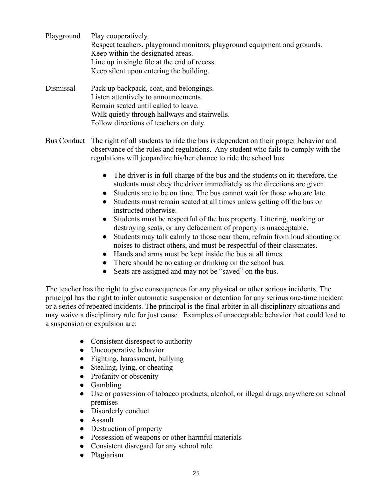- Playground Play cooperatively. Respect teachers, playground monitors, playground equipment and grounds. Keep within the designated areas. Line up in single file at the end of recess. Keep silent upon entering the building.
- Dismissal Pack up backpack, coat, and belongings. Listen attentively to announcements. Remain seated until called to leave. Walk quietly through hallways and stairwells. Follow directions of teachers on duty.
- Bus Conduct The right of all students to ride the bus is dependent on their proper behavior and observance of the rules and regulations. Any student who fails to comply with the regulations will jeopardize his/her chance to ride the school bus.
	- The driver is in full charge of the bus and the students on it; therefore, the students must obey the driver immediately as the directions are given.
	- Students are to be on time. The bus cannot wait for those who are late.
	- Students must remain seated at all times unless getting off the bus or instructed otherwise.
	- Students must be respectful of the bus property. Littering, marking or destroying seats, or any defacement of property is unacceptable.
	- Students may talk calmly to those near them, refrain from loud shouting or noises to distract others, and must be respectful of their classmates.
	- Hands and arms must be kept inside the bus at all times.
	- There should be no eating or drinking on the school bus.
	- Seats are assigned and may not be "saved" on the bus.

The teacher has the right to give consequences for any physical or other serious incidents. The principal has the right to infer automatic suspension or detention for any serious one-time incident or a series of repeated incidents. The principal is the final arbiter in all disciplinary situations and may waive a disciplinary rule for just cause. Examples of unacceptable behavior that could lead to a suspension or expulsion are:

- Consistent disrespect to authority
- Uncooperative behavior
- Fighting, harassment, bullying
- Stealing, lying, or cheating
- Profanity or obscenity
- Gambling
- Use or possession of tobacco products, alcohol, or illegal drugs anywhere on school premises
- Disorderly conduct
- Assault
- Destruction of property
- Possession of weapons or other harmful materials
- Consistent disregard for any school rule
- Plagiarism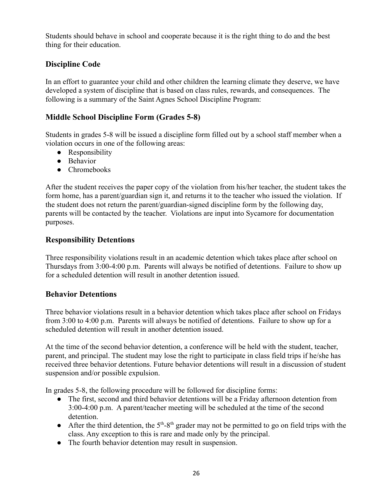Students should behave in school and cooperate because it is the right thing to do and the best thing for their education.

## **Discipline Code**

In an effort to guarantee your child and other children the learning climate they deserve, we have developed a system of discipline that is based on class rules, rewards, and consequences. The following is a summary of the Saint Agnes School Discipline Program:

## **Middle School Discipline Form (Grades 5-8)**

Students in grades 5-8 will be issued a discipline form filled out by a school staff member when a violation occurs in one of the following areas:

- Responsibility
- Behavior
- Chromebooks

After the student receives the paper copy of the violation from his/her teacher, the student takes the form home, has a parent/guardian sign it, and returns it to the teacher who issued the violation. If the student does not return the parent/guardian-signed discipline form by the following day, parents will be contacted by the teacher. Violations are input into Sycamore for documentation purposes.

#### **Responsibility Detentions**

Three responsibility violations result in an academic detention which takes place after school on Thursdays from 3:00-4:00 p.m. Parents will always be notified of detentions. Failure to show up for a scheduled detention will result in another detention issued.

#### **Behavior Detentions**

Three behavior violations result in a behavior detention which takes place after school on Fridays from 3:00 to 4:00 p.m. Parents will always be notified of detentions. Failure to show up for a scheduled detention will result in another detention issued.

At the time of the second behavior detention, a conference will be held with the student, teacher, parent, and principal. The student may lose the right to participate in class field trips if he/she has received three behavior detentions. Future behavior detentions will result in a discussion of student suspension and/or possible expulsion.

In grades 5-8, the following procedure will be followed for discipline forms:

- The first, second and third behavior detentions will be a Friday afternoon detention from 3:00-4:00 p.m. A parent/teacher meeting will be scheduled at the time of the second detention.
- After the third detention, the  $5<sup>th</sup>-8<sup>th</sup>$  grader may not be permitted to go on field trips with the class. Any exception to this is rare and made only by the principal.
- The fourth behavior detention may result in suspension.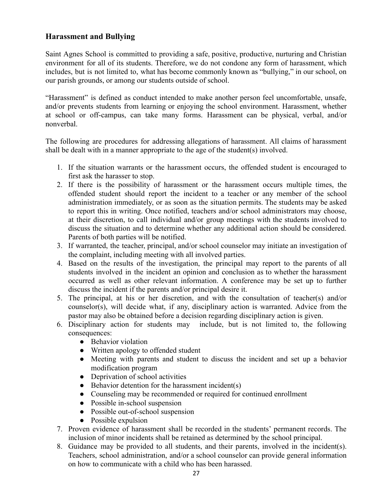## **Harassment and Bullying**

Saint Agnes School is committed to providing a safe, positive, productive, nurturing and Christian environment for all of its students. Therefore, we do not condone any form of harassment, which includes, but is not limited to, what has become commonly known as "bullying," in our school, on our parish grounds, or among our students outside of school.

"Harassment" is defined as conduct intended to make another person feel uncomfortable, unsafe, and/or prevents students from learning or enjoying the school environment. Harassment, whether at school or off-campus, can take many forms. Harassment can be physical, verbal, and/or nonverbal.

The following are procedures for addressing allegations of harassment. All claims of harassment shall be dealt with in a manner appropriate to the age of the student(s) involved.

- 1. If the situation warrants or the harassment occurs, the offended student is encouraged to first ask the harasser to stop.
- 2. If there is the possibility of harassment or the harassment occurs multiple times, the offended student should report the incident to a teacher or any member of the school administration immediately, or as soon as the situation permits. The students may be asked to report this in writing. Once notified, teachers and/or school administrators may choose, at their discretion, to call individual and/or group meetings with the students involved to discuss the situation and to determine whether any additional action should be considered. Parents of both parties will be notified.
- 3. If warranted, the teacher, principal, and/or school counselor may initiate an investigation of the complaint, including meeting with all involved parties.
- 4. Based on the results of the investigation, the principal may report to the parents of all students involved in the incident an opinion and conclusion as to whether the harassment occurred as well as other relevant information. A conference may be set up to further discuss the incident if the parents and/or principal desire it.
- 5. The principal, at his or her discretion, and with the consultation of teacher(s) and/or counselor(s), will decide what, if any, disciplinary action is warranted. Advice from the pastor may also be obtained before a decision regarding disciplinary action is given.
- 6. Disciplinary action for students may include, but is not limited to, the following consequences:
	- Behavior violation
	- Written apology to offended student
	- Meeting with parents and student to discuss the incident and set up a behavior modification program
	- Deprivation of school activities
	- $\bullet$  Behavior detention for the harassment incident(s)
	- Counseling may be recommended or required for continued enrollment
	- Possible in-school suspension
	- Possible out-of-school suspension
	- Possible expulsion
- 7. Proven evidence of harassment shall be recorded in the students' permanent records. The inclusion of minor incidents shall be retained as determined by the school principal.
- 8. Guidance may be provided to all students, and their parents, involved in the incident(s). Teachers, school administration, and/or a school counselor can provide general information on how to communicate with a child who has been harassed.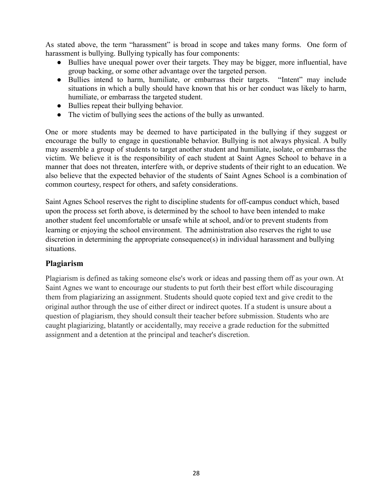As stated above, the term "harassment" is broad in scope and takes many forms. One form of harassment is bullying. Bullying typically has four components:

- Bullies have unequal power over their targets. They may be bigger, more influential, have group backing, or some other advantage over the targeted person.
- Bullies intend to harm, humiliate, or embarrass their targets. "Intent" may include situations in which a bully should have known that his or her conduct was likely to harm, humiliate, or embarrass the targeted student.
- Bullies repeat their bullying behavior.
- The victim of bullying sees the actions of the bully as unwanted.

One or more students may be deemed to have participated in the bullying if they suggest or encourage the bully to engage in questionable behavior. Bullying is not always physical. A bully may assemble a group of students to target another student and humiliate, isolate, or embarrass the victim. We believe it is the responsibility of each student at Saint Agnes School to behave in a manner that does not threaten, interfere with, or deprive students of their right to an education. We also believe that the expected behavior of the students of Saint Agnes School is a combination of common courtesy, respect for others, and safety considerations.

Saint Agnes School reserves the right to discipline students for off-campus conduct which, based upon the process set forth above, is determined by the school to have been intended to make another student feel uncomfortable or unsafe while at school, and/or to prevent students from learning or enjoying the school environment. The administration also reserves the right to use discretion in determining the appropriate consequence(s) in individual harassment and bullying situations.

## **Plagiarism**

Plagiarism is defined as taking someone else's work or ideas and passing them off as your own. At Saint Agnes we want to encourage our students to put forth their best effort while discouraging them from plagiarizing an assignment. Students should quote copied text and give credit to the original author through the use of either direct or indirect quotes. If a student is unsure about a question of plagiarism, they should consult their teacher before submission. Students who are caught plagiarizing, blatantly or accidentally, may receive a grade reduction for the submitted assignment and a detention at the principal and teacher's discretion.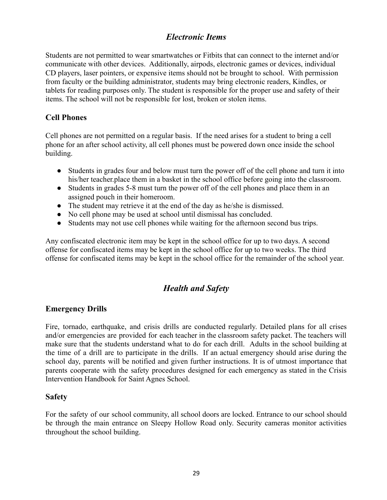## *Electronic Items*

Students are not permitted to wear smartwatches or Fitbits that can connect to the internet and/or communicate with other devices. Additionally, airpods, electronic games or devices, individual CD players, laser pointers, or expensive items should not be brought to school. With permission from faculty or the building administrator, students may bring electronic readers, Kindles, or tablets for reading purposes only. The student is responsible for the proper use and safety of their items. The school will not be responsible for lost, broken or stolen items.

## **Cell Phones**

Cell phones are not permitted on a regular basis. If the need arises for a student to bring a cell phone for an after school activity, all cell phones must be powered down once inside the school building.

- Students in grades four and below must turn the power off of the cell phone and turn it into his/her teacher.place them in a basket in the school office before going into the classroom.
- Students in grades 5-8 must turn the power off of the cell phones and place them in an assigned pouch in their homeroom.
- The student may retrieve it at the end of the day as he/she is dismissed.
- No cell phone may be used at school until dismissal has concluded.
- Students may not use cell phones while waiting for the afternoon second bus trips.

Any confiscated electronic item may be kept in the school office for up to two days. A second offense for confiscated items may be kept in the school office for up to two weeks. The third offense for confiscated items may be kept in the school office for the remainder of the school year.

## *Health and Safety*

## **Emergency Drills**

Fire, tornado, earthquake, and crisis drills are conducted regularly. Detailed plans for all crises and/or emergencies are provided for each teacher in the classroom safety packet. The teachers will make sure that the students understand what to do for each drill. Adults in the school building at the time of a drill are to participate in the drills. If an actual emergency should arise during the school day, parents will be notified and given further instructions. It is of utmost importance that parents cooperate with the safety procedures designed for each emergency as stated in the Crisis Intervention Handbook for Saint Agnes School.

#### **Safety**

For the safety of our school community, all school doors are locked. Entrance to our school should be through the main entrance on Sleepy Hollow Road only. Security cameras monitor activities throughout the school building.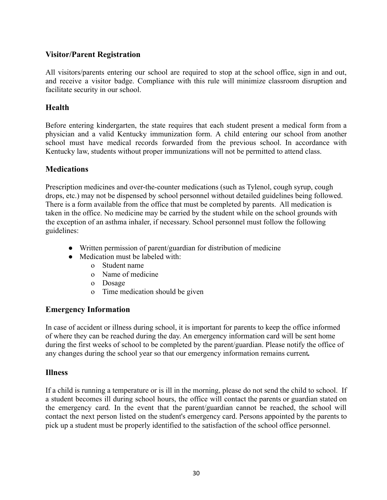## **Visitor/Parent Registration**

All visitors/parents entering our school are required to stop at the school office, sign in and out, and receive a visitor badge. Compliance with this rule will minimize classroom disruption and facilitate security in our school.

#### **Health**

Before entering kindergarten, the state requires that each student present a medical form from a physician and a valid Kentucky immunization form. A child entering our school from another school must have medical records forwarded from the previous school. In accordance with Kentucky law, students without proper immunizations will not be permitted to attend class.

#### **Medications**

Prescription medicines and over-the-counter medications (such as Tylenol, cough syrup, cough drops, etc.) may not be dispensed by school personnel without detailed guidelines being followed. There is a form available from the office that must be completed by parents. All medication is taken in the office. No medicine may be carried by the student while on the school grounds with the exception of an asthma inhaler, if necessary. School personnel must follow the following guidelines:

- Written permission of parent/guardian for distribution of medicine
- Medication must be labeled with:
	- o Student name
	- o Name of medicine
	- o Dosage
	- o Time medication should be given

#### **Emergency Information**

In case of accident or illness during school, it is important for parents to keep the office informed of where they can be reached during the day. An emergency information card will be sent home during the first weeks of school to be completed by the parent/guardian. Please notify the office of any changes during the school year so that our emergency information remains current*.*

#### **Illness**

If a child is running a temperature or is ill in the morning, please do not send the child to school. If a student becomes ill during school hours, the office will contact the parents or guardian stated on the emergency card. In the event that the parent/guardian cannot be reached, the school will contact the next person listed on the student's emergency card. Persons appointed by the parents to pick up a student must be properly identified to the satisfaction of the school office personnel.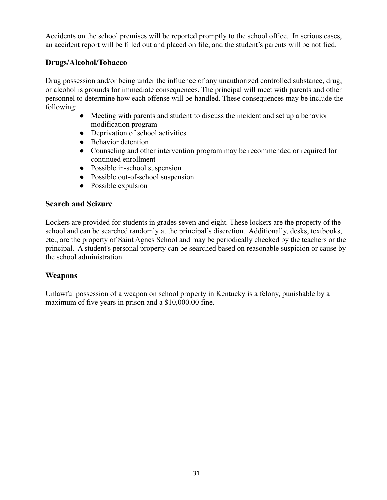Accidents on the school premises will be reported promptly to the school office. In serious cases, an accident report will be filled out and placed on file, and the student's parents will be notified.

## **Drugs/Alcohol/Tobacco**

Drug possession and/or being under the influence of any unauthorized controlled substance, drug, or alcohol is grounds for immediate consequences. The principal will meet with parents and other personnel to determine how each offense will be handled. These consequences may be include the following:

- Meeting with parents and student to discuss the incident and set up a behavior modification program
- Deprivation of school activities
- Behavior detention
- Counseling and other intervention program may be recommended or required for continued enrollment
- Possible in-school suspension
- Possible out-of-school suspension
- Possible expulsion

#### **Search and Seizure**

Lockers are provided for students in grades seven and eight. These lockers are the property of the school and can be searched randomly at the principal's discretion. Additionally, desks, textbooks, etc., are the property of Saint Agnes School and may be periodically checked by the teachers or the principal. A student's personal property can be searched based on reasonable suspicion or cause by the school administration.

## **Weapons**

Unlawful possession of a weapon on school property in Kentucky is a felony, punishable by a maximum of five years in prison and a \$10,000.00 fine.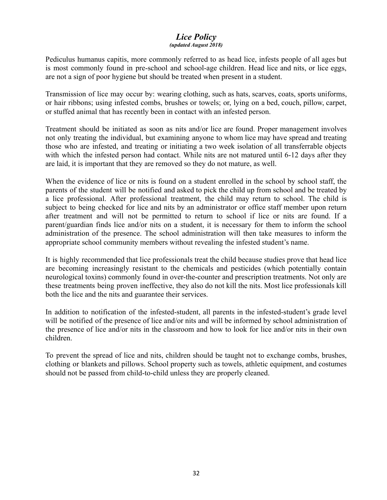#### *Lice Policy (updated August 2018)*

Pediculus humanus capitis, more commonly referred to as head lice, infests people of all ages but is most commonly found in pre-school and school-age children. Head lice and nits, or lice eggs, are not a sign of poor hygiene but should be treated when present in a student.

Transmission of lice may occur by: wearing clothing, such as hats, scarves, coats, sports uniforms, or hair ribbons; using infested combs, brushes or towels; or, lying on a bed, couch, pillow, carpet, or stuffed animal that has recently been in contact with an infested person.

Treatment should be initiated as soon as nits and/or lice are found. Proper management involves not only treating the individual, but examining anyone to whom lice may have spread and treating those who are infested, and treating or initiating a two week isolation of all transferrable objects with which the infested person had contact. While nits are not matured until 6-12 days after they are laid, it is important that they are removed so they do not mature, as well.

When the evidence of lice or nits is found on a student enrolled in the school by school staff, the parents of the student will be notified and asked to pick the child up from school and be treated by a lice professional. After professional treatment, the child may return to school. The child is subject to being checked for lice and nits by an administrator or office staff member upon return after treatment and will not be permitted to return to school if lice or nits are found. If a parent/guardian finds lice and/or nits on a student, it is necessary for them to inform the school administration of the presence. The school administration will then take measures to inform the appropriate school community members without revealing the infested student's name.

It is highly recommended that lice professionals treat the child because studies prove that head lice are becoming increasingly resistant to the chemicals and pesticides (which potentially contain neurological toxins) commonly found in over-the-counter and prescription treatments. Not only are these treatments being proven ineffective, they also do not kill the nits. Most lice professionals kill both the lice and the nits and guarantee their services.

In addition to notification of the infested-student, all parents in the infested-student's grade level will be notified of the presence of lice and/or nits and will be informed by school administration of the presence of lice and/or nits in the classroom and how to look for lice and/or nits in their own children.

To prevent the spread of lice and nits, children should be taught not to exchange combs, brushes, clothing or blankets and pillows. School property such as towels, athletic equipment, and costumes should not be passed from child-to-child unless they are properly cleaned.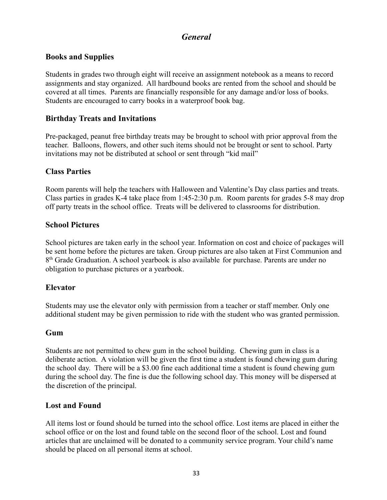## *General*

#### **Books and Supplies**

Students in grades two through eight will receive an assignment notebook as a means to record assignments and stay organized. All hardbound books are rented from the school and should be covered at all times. Parents are financially responsible for any damage and/or loss of books. Students are encouraged to carry books in a waterproof book bag.

#### **Birthday Treats and Invitations**

Pre-packaged, peanut free birthday treats may be brought to school with prior approval from the teacher. Balloons, flowers, and other such items should not be brought or sent to school. Party invitations may not be distributed at school or sent through "kid mail"

#### **Class Parties**

Room parents will help the teachers with Halloween and Valentine's Day class parties and treats. Class parties in grades K-4 take place from 1:45-2:30 p.m. Room parents for grades 5-8 may drop off party treats in the school office. Treats will be delivered to classrooms for distribution.

#### **School Pictures**

School pictures are taken early in the school year. Information on cost and choice of packages will be sent home before the pictures are taken. Group pictures are also taken at First Communion and 8<sup>th</sup> Grade Graduation. A school yearbook is also available for purchase. Parents are under no obligation to purchase pictures or a yearbook.

#### **Elevator**

Students may use the elevator only with permission from a teacher or staff member. Only one additional student may be given permission to ride with the student who was granted permission.

#### **Gum**

Students are not permitted to chew gum in the school building. Chewing gum in class is a deliberate action. A violation will be given the first time a student is found chewing gum during the school day. There will be a \$3.00 fine each additional time a student is found chewing gum during the school day. The fine is due the following school day. This money will be dispersed at the discretion of the principal.

#### **Lost and Found**

All items lost or found should be turned into the school office. Lost items are placed in either the school office or on the lost and found table on the second floor of the school. Lost and found articles that are unclaimed will be donated to a community service program. Your child's name should be placed on all personal items at school.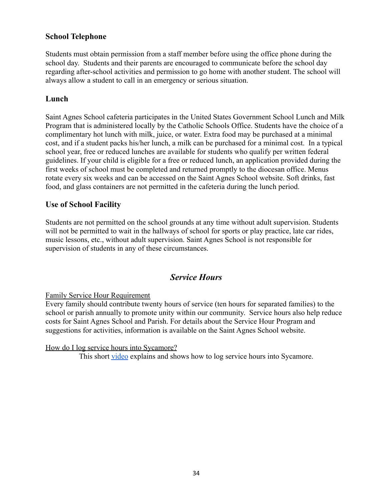#### **School Telephone**

Students must obtain permission from a staff member before using the office phone during the school day. Students and their parents are encouraged to communicate before the school day regarding after-school activities and permission to go home with another student. The school will always allow a student to call in an emergency or serious situation.

#### **Lunch**

Saint Agnes School cafeteria participates in the United States Government School Lunch and Milk Program that is administered locally by the Catholic Schools Office. Students have the choice of a complimentary hot lunch with milk, juice, or water. Extra food may be purchased at a minimal cost, and if a student packs his/her lunch, a milk can be purchased for a minimal cost. In a typical school year, free or reduced lunches are available for students who qualify per written federal guidelines. If your child is eligible for a free or reduced lunch, an application provided during the first weeks of school must be completed and returned promptly to the diocesan office. Menus rotate every six weeks and can be accessed on the Saint Agnes School website. Soft drinks, fast food, and glass containers are not permitted in the cafeteria during the lunch period.

#### **Use of School Facility**

Students are not permitted on the school grounds at any time without adult supervision. Students will not be permitted to wait in the hallways of school for sports or play practice, late car rides, music lessons, etc., without adult supervision. Saint Agnes School is not responsible for supervision of students in any of these circumstances.

## *Service Hours*

#### Family Service Hour Requirement

Every family should contribute twenty hours of service (ten hours for separated families) to the school or parish annually to promote unity within our community. Service hours also help reduce costs for Saint Agnes School and Parish. For details about the Service Hour Program and suggestions for activities, information is available on the Saint Agnes School website.

How do I log service hours into Sycamore?

This short [video](https://drive.google.com/file/d/1cmYj9N-NF2btSiiG8QdTD20q2RJRpwk7/view?usp=sharing) explains and shows how to log service hours into Sycamore.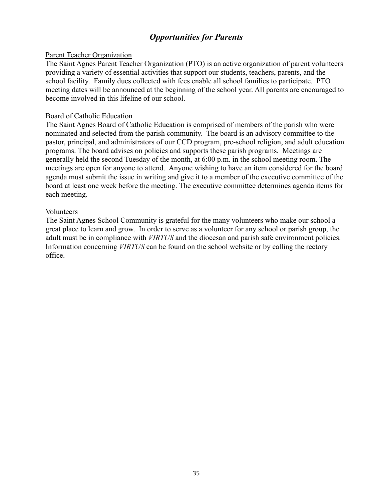## *Opportunities for Parents*

#### Parent Teacher Organization

The Saint Agnes Parent Teacher Organization (PTO) is an active organization of parent volunteers providing a variety of essential activities that support our students, teachers, parents, and the school facility. Family dues collected with fees enable all school families to participate. PTO meeting dates will be announced at the beginning of the school year. All parents are encouraged to become involved in this lifeline of our school.

#### Board of Catholic Education

The Saint Agnes Board of Catholic Education is comprised of members of the parish who were nominated and selected from the parish community. The board is an advisory committee to the pastor, principal, and administrators of our CCD program, pre-school religion, and adult education programs. The board advises on policies and supports these parish programs. Meetings are generally held the second Tuesday of the month, at 6:00 p.m. in the school meeting room. The meetings are open for anyone to attend. Anyone wishing to have an item considered for the board agenda must submit the issue in writing and give it to a member of the executive committee of the board at least one week before the meeting. The executive committee determines agenda items for each meeting.

#### Volunteers

The Saint Agnes School Community is grateful for the many volunteers who make our school a great place to learn and grow. In order to serve as a volunteer for any school or parish group, the adult must be in compliance with *VIRTUS* and the diocesan and parish safe environment policies. Information concerning *VIRTUS* can be found on the school website or by calling the rectory office.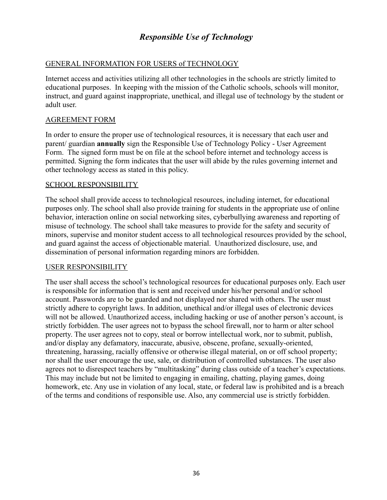## *Responsible Use of Technology*

#### GENERAL INFORMATION FOR USERS of TECHNOLOGY

Internet access and activities utilizing all other technologies in the schools are strictly limited to educational purposes. In keeping with the mission of the Catholic schools, schools will monitor, instruct, and guard against inappropriate, unethical, and illegal use of technology by the student or adult user.

#### AGREEMENT FORM

In order to ensure the proper use of technological resources, it is necessary that each user and parent/ guardian **annually** sign the Responsible Use of Technology Policy - User Agreement Form. The signed form must be on file at the school before internet and technology access is permitted. Signing the form indicates that the user will abide by the rules governing internet and other technology access as stated in this policy.

#### SCHOOL RESPONSIBILITY

The school shall provide access to technological resources, including internet, for educational purposes only. The school shall also provide training for students in the appropriate use of online behavior, interaction online on social networking sites, cyberbullying awareness and reporting of misuse of technology. The school shall take measures to provide for the safety and security of minors, supervise and monitor student access to all technological resources provided by the school, and guard against the access of objectionable material. Unauthorized disclosure, use, and dissemination of personal information regarding minors are forbidden.

#### USER RESPONSIBILITY

The user shall access the school's technological resources for educational purposes only. Each user is responsible for information that is sent and received under his/her personal and/or school account. Passwords are to be guarded and not displayed nor shared with others. The user must strictly adhere to copyright laws. In addition, unethical and/or illegal uses of electronic devices will not be allowed. Unauthorized access, including hacking or use of another person's account, is strictly forbidden. The user agrees not to bypass the school firewall, nor to harm or alter school property. The user agrees not to copy, steal or borrow intellectual work, nor to submit, publish, and/or display any defamatory, inaccurate, abusive, obscene, profane, sexually-oriented, threatening, harassing, racially offensive or otherwise illegal material, on or off school property; nor shall the user encourage the use, sale, or distribution of controlled substances. The user also agrees not to disrespect teachers by "multitasking" during class outside of a teacher's expectations. This may include but not be limited to engaging in emailing, chatting, playing games, doing homework, etc. Any use in violation of any local, state, or federal law is prohibited and is a breach of the terms and conditions of responsible use. Also, any commercial use is strictly forbidden.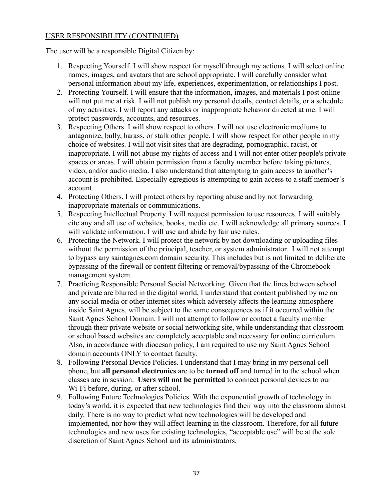#### USER RESPONSIBILITY (CONTINUED)

The user will be a responsible Digital Citizen by:

- 1. Respecting Yourself. I will show respect for myself through my actions. I will select online names, images, and avatars that are school appropriate. I will carefully consider what personal information about my life, experiences, experimentation, or relationships I post.
- 2. Protecting Yourself. I will ensure that the information, images, and materials I post online will not put me at risk. I will not publish my personal details, contact details, or a schedule of my activities. I will report any attacks or inappropriate behavior directed at me. I will protect passwords, accounts, and resources.
- 3. Respecting Others. I will show respect to others. I will not use electronic mediums to antagonize, bully, harass, or stalk other people. I will show respect for other people in my choice of websites. I will not visit sites that are degrading, pornographic, racist, or inappropriate. I will not abuse my rights of access and I will not enter other people's private spaces or areas. I will obtain permission from a faculty member before taking pictures, video, and/or audio media. I also understand that attempting to gain access to another's account is prohibited. Especially egregious is attempting to gain access to a staff member's account.
- 4. Protecting Others. I will protect others by reporting abuse and by not forwarding inappropriate materials or communications.
- 5. Respecting Intellectual Property. I will request permission to use resources. I will suitably cite any and all use of websites, books, media etc. I will acknowledge all primary sources. I will validate information. I will use and abide by fair use rules.
- 6. Protecting the Network. I will protect the network by not downloading or uploading files without the permission of the principal, teacher, or system administrator. I will not attempt to bypass any saintagnes.com domain security. This includes but is not limited to deliberate bypassing of the firewall or content filtering or removal/bypassing of the Chromebook management system.
- 7. Practicing Responsible Personal Social Networking. Given that the lines between school and private are blurred in the digital world, I understand that content published by me on any social media or other internet sites which adversely affects the learning atmosphere inside Saint Agnes, will be subject to the same consequences as if it occurred within the Saint Agnes School Domain. I will not attempt to follow or contact a faculty member through their private website or social networking site, while understanding that classroom or school based websites are completely acceptable and necessary for online curriculum. Also, in accordance with diocesan policy, I am required to use my Saint Agnes School domain accounts ONLY to contact faculty.
- 8. Following Personal Device Policies. I understand that I may bring in my personal cell phone, but **all personal electronics** are to be **turned off** and turned in to the school when classes are in session. **Users will not be permitted** to connect personal devices to our Wi-Fi before, during, or after school.
- 9. Following Future Technologies Policies. With the exponential growth of technology in today's world, it is expected that new technologies find their way into the classroom almost daily. There is no way to predict what new technologies will be developed and implemented, nor how they will affect learning in the classroom. Therefore, for all future technologies and new uses for existing technologies, "acceptable use" will be at the sole discretion of Saint Agnes School and its administrators.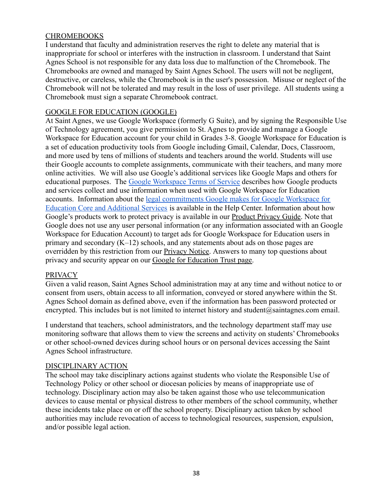#### **CHROMEBOOKS**

I understand that faculty and administration reserves the right to delete any material that is inappropriate for school or interferes with the instruction in classroom. I understand that Saint Agnes School is not responsible for any data loss due to malfunction of the Chromebook. The Chromebooks are owned and managed by Saint Agnes School. The users will not be negligent, destructive, or careless, while the Chromebook is in the user's possession. Misuse or neglect of the Chromebook will not be tolerated and may result in the loss of user privilege. All students using a Chromebook must sign a separate Chromebook contract.

#### GOOGLE FOR EDUCATION (GOOGLE)

At Saint Agnes, we use Google Workspace (formerly G Suite), and by signing the Responsible Use of Technology agreement, you give permission to St. Agnes to provide and manage a Google Workspace for Education account for your child in Grades 3-8. Google Workspace for Education is a set of education productivity tools from Google including Gmail, Calendar, Docs, Classroom, and more used by tens of millions of students and teachers around the world. Students will use their Google accounts to complete assignments, communicate with their teachers, and many more online activities. We will also use Google's additional services like Google Maps and others for educational purposes. The [Google Workspace Terms](https://www.google.com/work/apps/terms/education_privacy.html) of Service describes how Google products and services collect and use information when used with Google Workspace for Education accounts. Information about the legal commitments [Google makes for Google Workspace for](https://support.google.com/a/answer/6356441) [Education Core and Additional Services](https://support.google.com/a/answer/6356441) is available in the Help Center. Information about how Google's products work to protect privacy is available in our [Product Privacy Guide.](https://www.google.com/intl/en/policies/technologies/product-privacy/) Note that Google does not use any user personal information (or any information associated with an Google Workspace for Education Account) to target ads for Google Workspace for Education users in primary and secondary (K–12) schools, and any statements about ads on those pages are overridden by this restriction from our **Privacy Notice**. Answers to many top questions about privacy and security appear on our [Google for Education](https://www.google.com/edu/trust/) Trust page.

#### PRIVACY

Given a valid reason, Saint Agnes School administration may at any time and without notice to or consent from users, obtain access to all information, conveyed or stored anywhere within the St. Agnes School domain as defined above, even if the information has been password protected or encrypted. This includes but is not limited to internet history and student@saintagnes.com email.

I understand that teachers, school administrators, and the technology department staff may use monitoring software that allows them to view the screens and activity on students' Chromebooks or other school-owned devices during school hours or on personal devices accessing the Saint Agnes School infrastructure.

#### DISCIPLINARY ACTION

The school may take disciplinary actions against students who violate the Responsible Use of Technology Policy or other school or diocesan policies by means of inappropriate use of technology. Disciplinary action may also be taken against those who use telecommunication devices to cause mental or physical distress to other members of the school community, whether these incidents take place on or off the school property. Disciplinary action taken by school authorities may include revocation of access to technological resources, suspension, expulsion, and/or possible legal action.